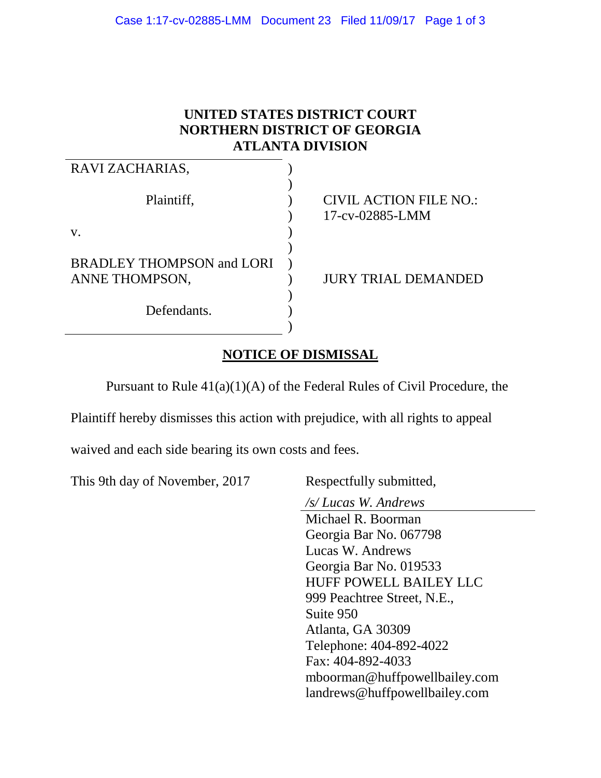## **UNITED STATES DISTRICT COURT NORTHERN DISTRICT OF GEORGIA ATLANTA DIVISION**

| RAVI ZACHARIAS,                                    |                                                  |
|----------------------------------------------------|--------------------------------------------------|
| Plaintiff,                                         | <b>CIVIL ACTION FILE NO.:</b><br>17-cv-02885-LMM |
| V.                                                 |                                                  |
| <b>BRADLEY THOMPSON and LORI</b><br>ANNE THOMPSON, | <b>JURY TRIAL DEMANDED</b>                       |
| Defendants.                                        |                                                  |

## **NOTICE OF DISMISSAL**

Pursuant to Rule 41(a)(1)(A) of the Federal Rules of Civil Procedure, the

Plaintiff hereby dismisses this action with prejudice, with all rights to appeal

waived and each side bearing its own costs and fees.

This 9th day of November, 2017 Respectfully submitted,

*/s/ Lucas W. Andrews*

Michael R. Boorman Georgia Bar No. 067798 Lucas W. Andrews Georgia Bar No. 019533 HUFF POWELL BAILEY LLC 999 Peachtree Street, N.E., Suite 950 Atlanta, GA 30309 Telephone: 404-892-4022 Fax: 404-892-4033 mboorman@huffpowellbailey.com landrews@huffpowellbailey.com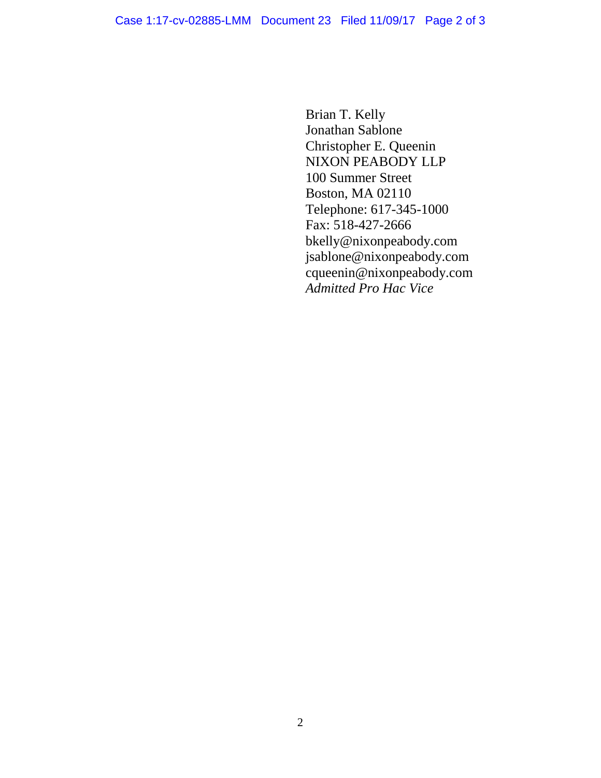Brian T. Kelly Jonathan Sablone Christopher E. Queenin NIXON PEABODY LLP 100 Summer Street Boston, MA 02110 Telephone: 617-345-1000 Fax: 518-427-2666 bkelly@nixonpeabody.com jsablone@nixonpeabody.com cqueenin@nixonpeabody.com *Admitted Pro Hac Vice*